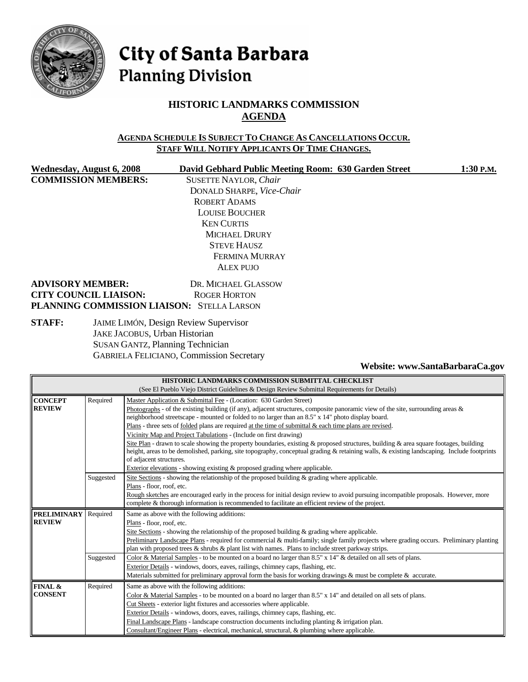

# City of Santa Barbara **Planning Division**

# **HISTORIC LANDMARKS COMMISSION AGENDA**

#### **AGENDA SCHEDULE IS SUBJECT TO CHANGE AS CANCELLATIONS OCCUR. STAFF WILL NOTIFY APPLICANTS OF TIME CHANGES.**

**COMMISSION MEMBERS:** SUSETTE NAYLOR, *Chair*

**Wednesday, August 6, 2008 David Gebhard Public Meeting Room: 630 Garden Street 1:30 P.M.** DONALD SHARPE, *Vice-Chair* ROBERT ADAMS LOUISE BOUCHER KEN CURTIS MICHAEL DRURY STEVE HAUSZ FERMINA MURRAY ALEX PUJO

#### **ADVISORY MEMBER:** DR. MICHAEL GLASSOW **CITY COUNCIL LIAISON:** ROGER HORTON **PLANNING COMMISSION LIAISON:** STELLA LARSON

## **STAFF:** JAIME LIMÓN, Design Review Supervisor JAKE JACOBUS, Urban Historian SUSAN GANTZ, Planning Technician GABRIELA FELICIANO, Commission Secretary

#### **Website: www.SantaBarbaraCa.gov**

| HISTORIC LANDMARKS COMMISSION SUBMITTAL CHECKLIST |                                                                                              |                                                                                                                                            |  |  |
|---------------------------------------------------|----------------------------------------------------------------------------------------------|--------------------------------------------------------------------------------------------------------------------------------------------|--|--|
|                                                   | (See El Pueblo Viejo District Guidelines & Design Review Submittal Requirements for Details) |                                                                                                                                            |  |  |
| <b>CONCEPT</b>                                    | Required<br>Master Application & Submittal Fee - (Location: 630 Garden Street)               |                                                                                                                                            |  |  |
| <b>REVIEW</b>                                     |                                                                                              | Photographs - of the existing building (if any), adjacent structures, composite panoramic view of the site, surrounding areas $\&$         |  |  |
|                                                   |                                                                                              | neighborhood streetscape - mounted or folded to no larger than an 8.5" x 14" photo display board.                                          |  |  |
|                                                   |                                                                                              | Plans - three sets of folded plans are required at the time of submittal $\&$ each time plans are revised.                                 |  |  |
|                                                   |                                                                                              | Vicinity Map and Project Tabulations - (Include on first drawing)                                                                          |  |  |
|                                                   |                                                                                              | Site Plan - drawn to scale showing the property boundaries, existing & proposed structures, building & area square footages, building      |  |  |
|                                                   |                                                                                              | height, areas to be demolished, parking, site topography, conceptual grading & retaining walls, & existing landscaping. Include footprints |  |  |
|                                                   |                                                                                              | of adjacent structures.                                                                                                                    |  |  |
|                                                   |                                                                                              | Exterior elevations - showing existing & proposed grading where applicable.                                                                |  |  |
|                                                   | Suggested                                                                                    | Site Sections - showing the relationship of the proposed building $\&$ grading where applicable.                                           |  |  |
|                                                   |                                                                                              | Plans - floor, roof, etc.                                                                                                                  |  |  |
|                                                   |                                                                                              | Rough sketches are encouraged early in the process for initial design review to avoid pursuing incompatible proposals. However, more       |  |  |
|                                                   |                                                                                              | complete & thorough information is recommended to facilitate an efficient review of the project.                                           |  |  |
| <b>PRELIMINARY</b>                                | Required                                                                                     | Same as above with the following additions:                                                                                                |  |  |
| <b>REVIEW</b>                                     |                                                                                              | Plans - floor, roof, etc.                                                                                                                  |  |  |
|                                                   |                                                                                              | Site Sections - showing the relationship of the proposed building $\&$ grading where applicable.                                           |  |  |
|                                                   |                                                                                              | Preliminary Landscape Plans - required for commercial & multi-family; single family projects where grading occurs. Preliminary planting    |  |  |
|                                                   |                                                                                              | plan with proposed trees & shrubs & plant list with names. Plans to include street parkway strips.                                         |  |  |
|                                                   | Suggested                                                                                    | Color & Material Samples - to be mounted on a board no larger than 8.5" x 14" & detailed on all sets of plans.                             |  |  |
|                                                   |                                                                                              | Exterior Details - windows, doors, eaves, railings, chimney caps, flashing, etc.                                                           |  |  |
|                                                   |                                                                                              | Materials submitted for preliminary approval form the basis for working drawings & must be complete & accurate.                            |  |  |
| FINAL &                                           | Required                                                                                     | Same as above with the following additions:                                                                                                |  |  |
| <b>CONSENT</b>                                    |                                                                                              | Color & Material Samples - to be mounted on a board no larger than 8.5" x 14" and detailed on all sets of plans.                           |  |  |
|                                                   |                                                                                              | Cut Sheets - exterior light fixtures and accessories where applicable.                                                                     |  |  |
|                                                   |                                                                                              | Exterior Details - windows, doors, eaves, railings, chimney caps, flashing, etc.                                                           |  |  |
|                                                   |                                                                                              | Final Landscape Plans - landscape construction documents including planting $\&$ irrigation plan.                                          |  |  |
|                                                   |                                                                                              | Consultant/Engineer Plans - electrical, mechanical, structural, & plumbing where applicable.                                               |  |  |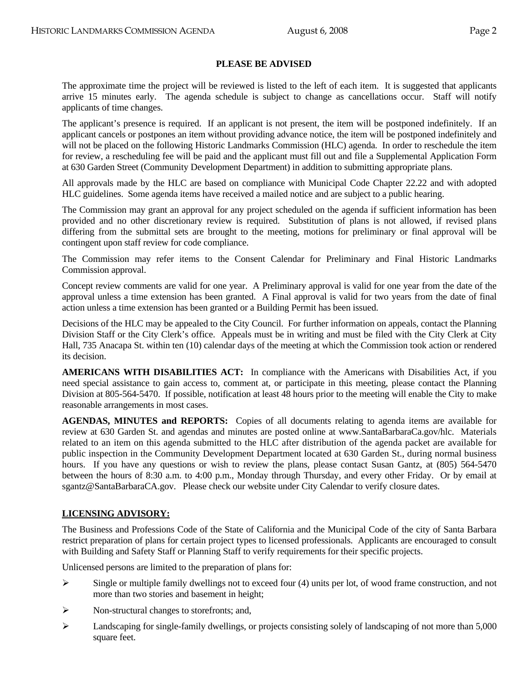## **PLEASE BE ADVISED**

 The approximate time the project will be reviewed is listed to the left of each item. It is suggested that applicants arrive 15 minutes early. The agenda schedule is subject to change as cancellations occur. Staff will notify applicants of time changes.

 The applicant's presence is required. If an applicant is not present, the item will be postponed indefinitely. If an applicant cancels or postpones an item without providing advance notice, the item will be postponed indefinitely and will not be placed on the following Historic Landmarks Commission (HLC) agenda. In order to reschedule the item for review, a rescheduling fee will be paid and the applicant must fill out and file a Supplemental Application Form at 630 Garden Street (Community Development Department) in addition to submitting appropriate plans.

 All approvals made by the HLC are based on compliance with Municipal Code Chapter 22.22 and with adopted HLC guidelines. Some agenda items have received a mailed notice and are subject to a public hearing.

 The Commission may grant an approval for any project scheduled on the agenda if sufficient information has been provided and no other discretionary review is required. Substitution of plans is not allowed, if revised plans differing from the submittal sets are brought to the meeting, motions for preliminary or final approval will be contingent upon staff review for code compliance.

 The Commission may refer items to the Consent Calendar for Preliminary and Final Historic Landmarks Commission approval.

Concept review comments are valid for one year. A Preliminary approval is valid for one year from the date of the approval unless a time extension has been granted. A Final approval is valid for two years from the date of final action unless a time extension has been granted or a Building Permit has been issued.

Decisions of the HLC may be appealed to the City Council. For further information on appeals, contact the Planning Division Staff or the City Clerk's office. Appeals must be in writing and must be filed with the City Clerk at City Hall, 735 Anacapa St. within ten (10) calendar days of the meeting at which the Commission took action or rendered its decision.

 **AMERICANS WITH DISABILITIES ACT:** In compliance with the Americans with Disabilities Act, if you need special assistance to gain access to, comment at, or participate in this meeting, please contact the Planning Division at 805-564-5470. If possible, notification at least 48 hours prior to the meeting will enable the City to make reasonable arrangements in most cases.

AGENDAS, MINUTES and REPORTS: Copies of all documents relating to agenda items are available for review at 630 Garden St. and agendas and minutes are posted online at www.SantaBarbaraCa.gov/hlc. Materials related to an item on this agenda submitted to the HLC after distribution of the agenda packet are available for public inspection in the Community Development Department located at 630 Garden St., during normal business hours. If you have any questions or wish to review the plans, please contact Susan Gantz, at (805) 564-5470 between the hours of 8:30 a.m. to 4:00 p.m., Monday through Thursday, and every other Friday. Or by email at sgantz@SantaBarbaraCA.gov. Please check our website under City Calendar to verify closure dates.

## **LICENSING ADVISORY:**

The Business and Professions Code of the State of California and the Municipal Code of the city of Santa Barbara restrict preparation of plans for certain project types to licensed professionals. Applicants are encouraged to consult with Building and Safety Staff or Planning Staff to verify requirements for their specific projects.

Unlicensed persons are limited to the preparation of plans for:

- $\triangleright$  Single or multiple family dwellings not to exceed four (4) units per lot, of wood frame construction, and not more than two stories and basement in height;
- ¾ Non-structural changes to storefronts; and,
- $\blacktriangleright$  Landscaping for single-family dwellings, or projects consisting solely of landscaping of not more than 5,000 square feet.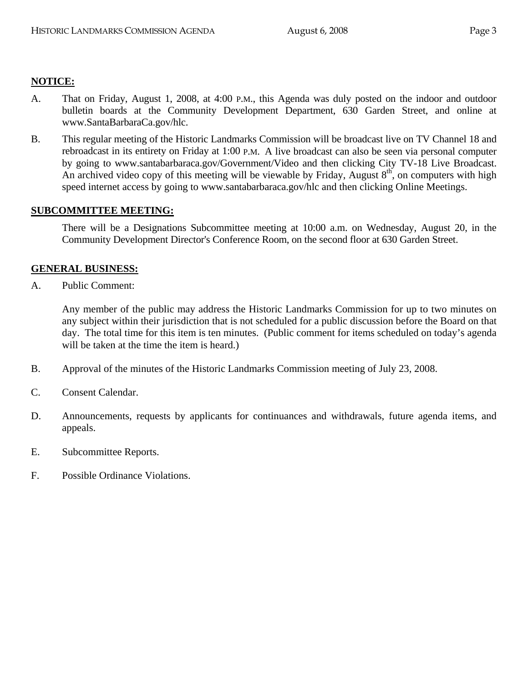## **NOTICE:**

- A. That on Friday, August 1, 2008, at 4:00 P.M., this Agenda was duly posted on the indoor and outdoor bulletin boards at the Community Development Department, 630 Garden Street, and online at www.SantaBarbaraCa.gov/hlc.
- B. This regular meeting of the Historic Landmarks Commission will be broadcast live on TV Channel 18 and rebroadcast in its entirety on Friday at 1:00 P.M. A live broadcast can also be seen via personal computer by going to www.santabarbaraca.gov/Government/Video and then clicking City TV-18 Live Broadcast. An archived video copy of this meeting will be viewable by Friday, August  $8<sup>th</sup>$ , on computers with high speed internet access by going to www.santabarbaraca.gov/hlc and then clicking Online Meetings.

## **SUBCOMMITTEE MEETING:**

There will be a Designations Subcommittee meeting at 10:00 a.m. on Wednesday, August 20, in the Community Development Director's Conference Room, on the second floor at 630 Garden Street.

## **GENERAL BUSINESS:**

A. Public Comment:

Any member of the public may address the Historic Landmarks Commission for up to two minutes on any subject within their jurisdiction that is not scheduled for a public discussion before the Board on that day. The total time for this item is ten minutes. (Public comment for items scheduled on today's agenda will be taken at the time the item is heard.)

- B. Approval of the minutes of the Historic Landmarks Commission meeting of July 23, 2008.
- C. Consent Calendar.
- D. Announcements, requests by applicants for continuances and withdrawals, future agenda items, and appeals.
- E. Subcommittee Reports.
- F. Possible Ordinance Violations.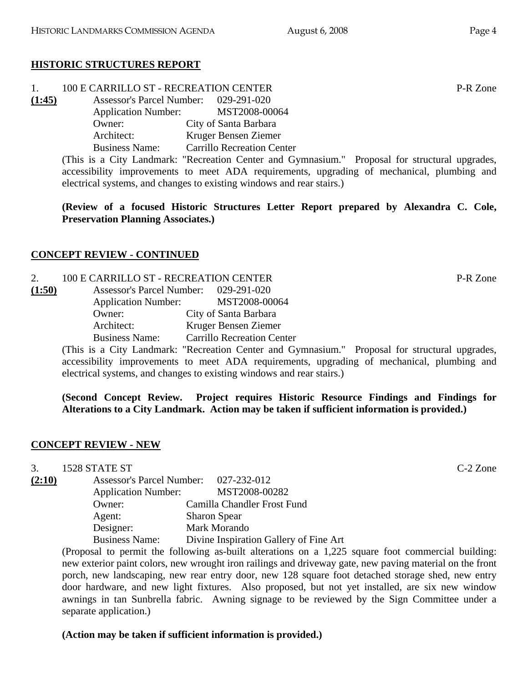# **HISTORIC STRUCTURES REPORT**

|  | 100 E CARRILLO ST - RECREATION CENTER | P-R Zone |
|--|---------------------------------------|----------|
|--|---------------------------------------|----------|

**(1:45)** Assessor's Parcel Number: 029-291-020 Application Number: MST2008-00064 Owner: City of Santa Barbara Architect: Kruger Bensen Ziemer Business Name: Carrillo Recreation Center

(This is a City Landmark: "Recreation Center and Gymnasium." Proposal for structural upgrades, accessibility improvements to meet ADA requirements, upgrading of mechanical, plumbing and electrical systems, and changes to existing windows and rear stairs.)

**(Review of a focused Historic Structures Letter Report prepared by Alexandra C. Cole, Preservation Planning Associates.)** 

# **CONCEPT REVIEW - CONTINUED**

2. 100 E CARRILLO ST - RECREATION CENTER P-R Zone **(1:50)** Assessor's Parcel Number: 029-291-020 Application Number: MST2008-00064 Owner: City of Santa Barbara Architect: Kruger Bensen Ziemer Business Name: Carrillo Recreation Center

(This is a City Landmark: "Recreation Center and Gymnasium." Proposal for structural upgrades, accessibility improvements to meet ADA requirements, upgrading of mechanical, plumbing and electrical systems, and changes to existing windows and rear stairs.)

**(Second Concept Review. Project requires Historic Resource Findings and Findings for Alterations to a City Landmark. Action may be taken if sufficient information is provided.)** 

# **CONCEPT REVIEW - NEW**

3. 1528 STATE ST C-2 Zone

**(2:10)** Assessor's Parcel Number: 027-232-012 Application Number: MST2008-00282 Owner: Camilla Chandler Frost Fund Agent: Sharon Spear Designer: Mark Morando Business Name: Divine Inspiration Gallery of Fine Art

(Proposal to permit the following as-built alterations on a 1,225 square foot commercial building: new exterior paint colors, new wrought iron railings and driveway gate, new paving material on the front porch, new landscaping, new rear entry door, new 128 square foot detached storage shed, new entry door hardware, and new light fixtures. Also proposed, but not yet installed, are six new window awnings in tan Sunbrella fabric. Awning signage to be reviewed by the Sign Committee under a separate application.)

# **(Action may be taken if sufficient information is provided.)**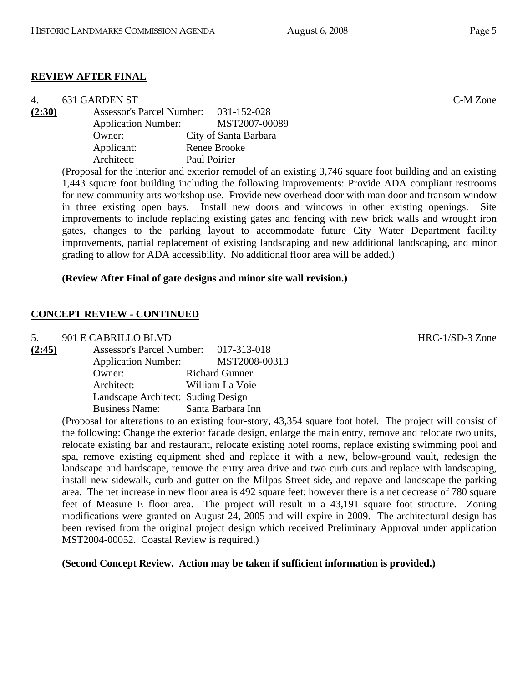## **REVIEW AFTER FINAL**

| 4.     | 631 GARDEN ST              |                                       | C-M Zone |
|--------|----------------------------|---------------------------------------|----------|
| (2:30) |                            | Assessor's Parcel Number: 031-152-028 |          |
|        | <b>Application Number:</b> | MST2007-00089                         |          |
|        | Owner:                     | City of Santa Barbara                 |          |
|        | Applicant:                 | Renee Brooke                          |          |
|        | Architect:                 | Paul Poirier                          |          |

(Proposal for the interior and exterior remodel of an existing 3,746 square foot building and an existing 1,443 square foot building including the following improvements: Provide ADA compliant restrooms for new community arts workshop use. Provide new overhead door with man door and transom window in three existing open bays. Install new doors and windows in other existing openings. Site improvements to include replacing existing gates and fencing with new brick walls and wrought iron gates, changes to the parking layout to accommodate future City Water Department facility improvements, partial replacement of existing landscaping and new additional landscaping, and minor grading to allow for ADA accessibility. No additional floor area will be added.)

#### **(Review After Final of gate designs and minor site wall revision.)**

#### **CONCEPT REVIEW - CONTINUED**

5. 901 E CABRILLO BLVD HRC-1/SD-3 Zone

| (2:45) | Assessor's Parcel Number: 017-313-018 |                       |
|--------|---------------------------------------|-----------------------|
|        | <b>Application Number:</b>            | MST2008-00313         |
|        | Owner:                                | <b>Richard Gunner</b> |
|        | Architect:                            | William La Voie       |
|        | Landscape Architect: Suding Design    |                       |
|        | <b>Business Name:</b>                 | Santa Barbara Inn     |

(Proposal for alterations to an existing four-story, 43,354 square foot hotel. The project will consist of the following: Change the exterior facade design, enlarge the main entry, remove and relocate two units, relocate existing bar and restaurant, relocate existing hotel rooms, replace existing swimming pool and spa, remove existing equipment shed and replace it with a new, below-ground vault, redesign the landscape and hardscape, remove the entry area drive and two curb cuts and replace with landscaping, install new sidewalk, curb and gutter on the Milpas Street side, and repave and landscape the parking area. The net increase in new floor area is 492 square feet; however there is a net decrease of 780 square feet of Measure E floor area. The project will result in a 43,191 square foot structure. Zoning modifications were granted on August 24, 2005 and will expire in 2009. The architectural design has been revised from the original project design which received Preliminary Approval under application MST2004-00052. Coastal Review is required.)

## **(Second Concept Review. Action may be taken if sufficient information is provided.)**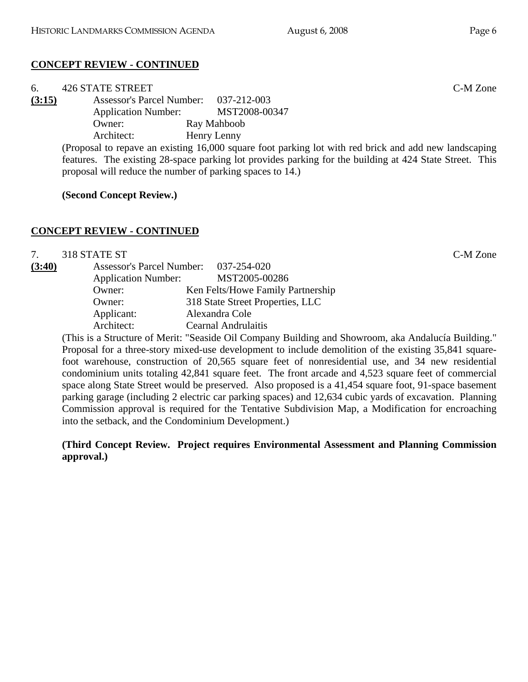# **CONCEPT REVIEW - CONTINUED**

| 6.                                                                                                    | <b>426 STATE STREET</b>                                   |                                                                                                         | C-M Zone |
|-------------------------------------------------------------------------------------------------------|-----------------------------------------------------------|---------------------------------------------------------------------------------------------------------|----------|
| (3:15)                                                                                                | Assessor's Parcel Number: 037-212-003                     |                                                                                                         |          |
|                                                                                                       | <b>Application Number:</b>                                | MST2008-00347                                                                                           |          |
|                                                                                                       | Owner:                                                    | Ray Mahboob                                                                                             |          |
|                                                                                                       | Architect:                                                | Henry Lenny                                                                                             |          |
| (Proposal to repave an existing 16,000 square foot parking lot with red brick and add new landscaping |                                                           |                                                                                                         |          |
|                                                                                                       |                                                           | features. The existing 28-space parking lot provides parking for the building at 424 State Street. This |          |
|                                                                                                       | proposal will reduce the number of parking spaces to 14.) |                                                                                                         |          |

**(Second Concept Review.)** 

## **CONCEPT REVIEW - CONTINUED**

7. 318 STATE ST C-M Zone

| (3:40) | <b>Assessor's Parcel Number:</b> | 037-254-020                       |
|--------|----------------------------------|-----------------------------------|
|        | <b>Application Number:</b>       | MST2005-00286                     |
|        | Owner:                           | Ken Felts/Howe Family Partnership |
|        | Owner:                           | 318 State Street Properties, LLC  |
|        | Applicant:                       | Alexandra Cole                    |
|        | Architect:                       | <b>Cearnal Andrulaitis</b>        |

(This is a Structure of Merit: "Seaside Oil Company Building and Showroom, aka Andalucía Building." Proposal for a three-story mixed-use development to include demolition of the existing 35,841 squarefoot warehouse, construction of 20,565 square feet of nonresidential use, and 34 new residential condominium units totaling 42,841 square feet. The front arcade and 4,523 square feet of commercial space along State Street would be preserved. Also proposed is a 41,454 square foot, 91-space basement parking garage (including 2 electric car parking spaces) and 12,634 cubic yards of excavation. Planning Commission approval is required for the Tentative Subdivision Map, a Modification for encroaching into the setback, and the Condominium Development.)

**(Third Concept Review. Project requires Environmental Assessment and Planning Commission approval.)**